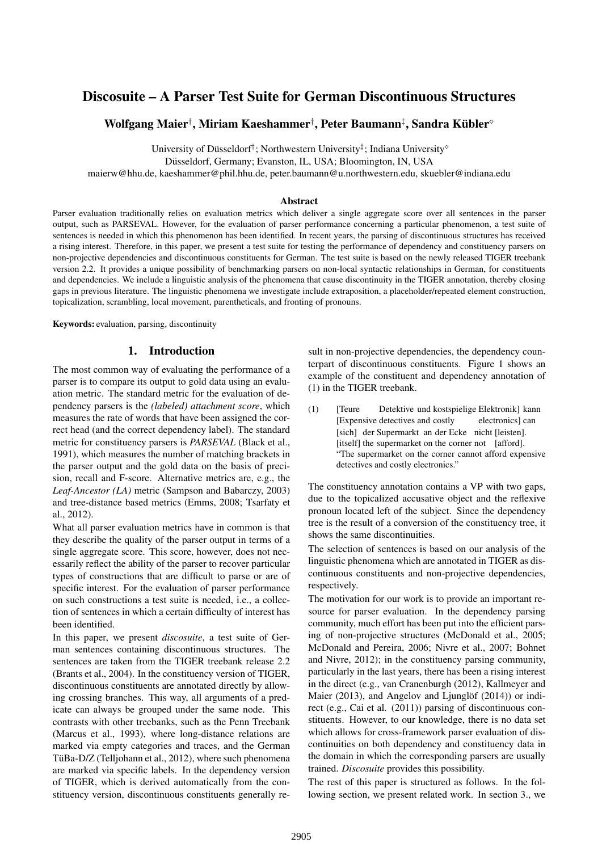# Discosuite – A Parser Test Suite for German Discontinuous Structures

# Wolfgang Maier†, Miriam Kaeshammer†, Peter Baumann‡, Sandra Kübler $^\circ$

University of Düsseldorf<sup>†</sup>; Northwestern University<sup>‡</sup>; Indiana University<sup>®</sup>

Düsseldorf, Germany; Evanston, IL, USA; Bloomington, IN, USA

maierw@hhu.de, kaeshammer@phil.hhu.de, peter.baumann@u.northwestern.edu, skuebler@indiana.edu

### Abstract

Parser evaluation traditionally relies on evaluation metrics which deliver a single aggregate score over all sentences in the parser output, such as PARSEVAL. However, for the evaluation of parser performance concerning a particular phenomenon, a test suite of sentences is needed in which this phenomenon has been identified. In recent years, the parsing of discontinuous structures has received a rising interest. Therefore, in this paper, we present a test suite for testing the performance of dependency and constituency parsers on non-projective dependencies and discontinuous constituents for German. The test suite is based on the newly released TIGER treebank version 2.2. It provides a unique possibility of benchmarking parsers on non-local syntactic relationships in German, for constituents and dependencies. We include a linguistic analysis of the phenomena that cause discontinuity in the TIGER annotation, thereby closing gaps in previous literature. The linguistic phenomena we investigate include extraposition, a placeholder/repeated element construction, topicalization, scrambling, local movement, parentheticals, and fronting of pronouns.

Keywords: evaluation, parsing, discontinuity

# 1. Introduction

The most common way of evaluating the performance of a parser is to compare its output to gold data using an evaluation metric. The standard metric for the evaluation of dependency parsers is the *(labeled) attachment score*, which measures the rate of words that have been assigned the correct head (and the correct dependency label). The standard metric for constituency parsers is *PARSEVAL* (Black et al., 1991), which measures the number of matching brackets in the parser output and the gold data on the basis of precision, recall and F-score. Alternative metrics are, e.g., the *Leaf-Ancestor (LA)* metric (Sampson and Babarczy, 2003) and tree-distance based metrics (Emms, 2008; Tsarfaty et al., 2012).

What all parser evaluation metrics have in common is that they describe the quality of the parser output in terms of a single aggregate score. This score, however, does not necessarily reflect the ability of the parser to recover particular types of constructions that are difficult to parse or are of specific interest. For the evaluation of parser performance on such constructions a test suite is needed, i.e., a collection of sentences in which a certain difficulty of interest has been identified.

In this paper, we present *discosuite*, a test suite of German sentences containing discontinuous structures. The sentences are taken from the TIGER treebank release 2.2 (Brants et al., 2004). In the constituency version of TIGER, discontinuous constituents are annotated directly by allowing crossing branches. This way, all arguments of a predicate can always be grouped under the same node. This contrasts with other treebanks, such as the Penn Treebank (Marcus et al., 1993), where long-distance relations are marked via empty categories and traces, and the German TüBa-D/Z (Telljohann et al., 2012), where such phenomena are marked via specific labels. In the dependency version of TIGER, which is derived automatically from the constituency version, discontinuous constituents generally result in non-projective dependencies, the dependency counterpart of discontinuous constituents. Figure 1 shows an example of the constituent and dependency annotation of (1) in the TIGER treebank.

 $(1)$  [Teure [Expensive detectives and costly Detektive und kostspielige Elektronik] kann electronics] can [sich] der Supermarkt an der Ecke nicht [leisten]. [itself] the supermarket on the corner not [afford]. "The supermarket on the corner cannot afford expensive detectives and costly electronics."

The constituency annotation contains a VP with two gaps, due to the topicalized accusative object and the reflexive pronoun located left of the subject. Since the dependency tree is the result of a conversion of the constituency tree, it shows the same discontinuities.

The selection of sentences is based on our analysis of the linguistic phenomena which are annotated in TIGER as discontinuous constituents and non-projective dependencies, respectively.

The motivation for our work is to provide an important resource for parser evaluation. In the dependency parsing community, much effort has been put into the efficient parsing of non-projective structures (McDonald et al., 2005; McDonald and Pereira, 2006; Nivre et al., 2007; Bohnet and Nivre, 2012); in the constituency parsing community, particularly in the last years, there has been a rising interest in the direct (e.g., van Cranenburgh (2012), Kallmeyer and Maier (2013), and Angelov and Ljunglöf (2014)) or indirect (e.g., Cai et al. (2011)) parsing of discontinuous constituents. However, to our knowledge, there is no data set which allows for cross-framework parser evaluation of discontinuities on both dependency and constituency data in the domain in which the corresponding parsers are usually trained. *Discosuite* provides this possibility.

The rest of this paper is structured as follows. In the following section, we present related work. In section 3., we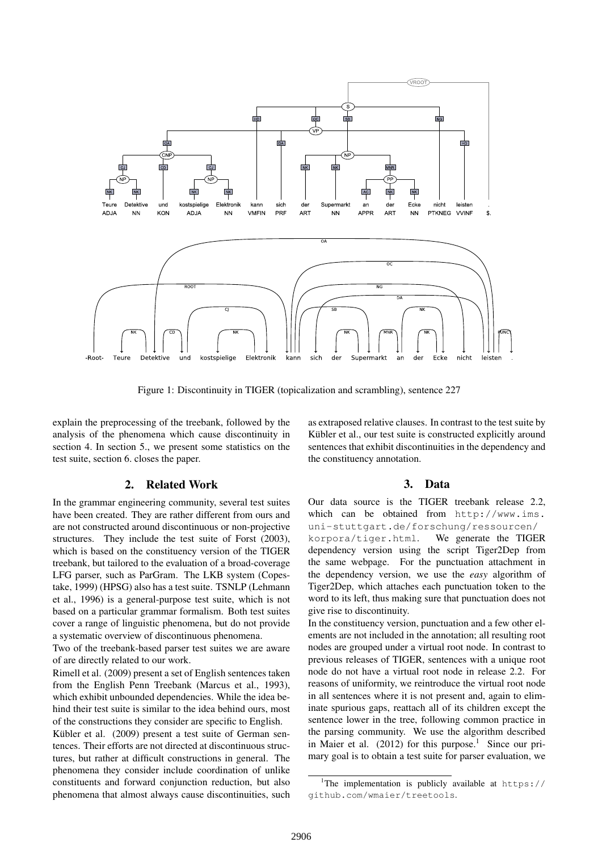

Figure 1: Discontinuity in TIGER (topicalization and scrambling), sentence 227

explain the preprocessing of the treebank, followed by the analysis of the phenomena which cause discontinuity in section 4. In section 5., we present some statistics on the test suite, section 6. closes the paper.

# 2. Related Work

In the grammar engineering community, several test suites have been created. They are rather different from ours and are not constructed around discontinuous or non-projective structures. They include the test suite of Forst (2003), which is based on the constituency version of the TIGER treebank, but tailored to the evaluation of a broad-coverage LFG parser, such as ParGram. The LKB system (Copestake, 1999) (HPSG) also has a test suite. TSNLP (Lehmann et al., 1996) is a general-purpose test suite, which is not based on a particular grammar formalism. Both test suites cover a range of linguistic phenomena, but do not provide a systematic overview of discontinuous phenomena.

Two of the treebank-based parser test suites we are aware of are directly related to our work.

Rimell et al. (2009) present a set of English sentences taken from the English Penn Treebank (Marcus et al., 1993), which exhibit unbounded dependencies. While the idea behind their test suite is similar to the idea behind ours, most of the constructions they consider are specific to English.

Kübler et al. (2009) present a test suite of German sentences. Their efforts are not directed at discontinuous structures, but rather at difficult constructions in general. The phenomena they consider include coordination of unlike constituents and forward conjunction reduction, but also phenomena that almost always cause discontinuities, such as extraposed relative clauses. In contrast to the test suite by Kübler et al., our test suite is constructed explicitly around sentences that exhibit discontinuities in the dependency and the constituency annotation.

### 3. Data

Our data source is the TIGER treebank release 2.2, which can be obtained from http://www.ims. uni-stuttgart.de/forschung/ressourcen/ korpora/tiger.html. We generate the TIGER dependency version using the script Tiger2Dep from the same webpage. For the punctuation attachment in the dependency version, we use the *easy* algorithm of Tiger2Dep, which attaches each punctuation token to the word to its left, thus making sure that punctuation does not give rise to discontinuity.

In the constituency version, punctuation and a few other elements are not included in the annotation; all resulting root nodes are grouped under a virtual root node. In contrast to previous releases of TIGER, sentences with a unique root node do not have a virtual root node in release 2.2. For reasons of uniformity, we reintroduce the virtual root node in all sentences where it is not present and, again to eliminate spurious gaps, reattach all of its children except the sentence lower in the tree, following common practice in the parsing community. We use the algorithm described in Maier et al.  $(2012)$  for this purpose.<sup>1</sup> Since our primary goal is to obtain a test suite for parser evaluation, we

<sup>&</sup>lt;sup>1</sup>The implementation is publicly available at  $https://$ github.com/wmaier/treetools.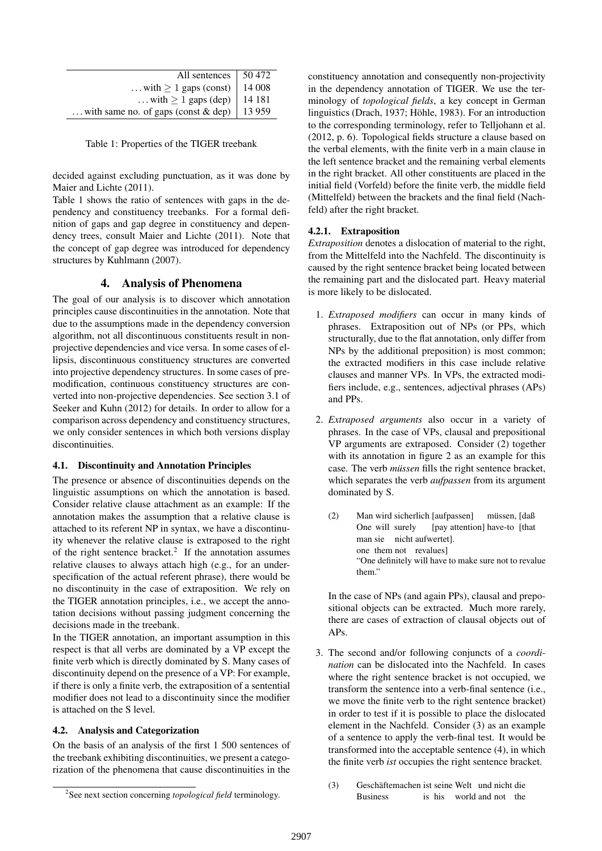| All sentences                         | 50 472  |
|---------------------------------------|---------|
| with $\geq 1$ gaps (const)            | 14 008  |
| with $\geq 1$ gaps (dep)              | 14 18 1 |
| with same no. of gaps (const $&$ dep) | 13 9 59 |

Table 1: Properties of the TIGER treebank

decided against excluding punctuation, as it was done by Maier and Lichte (2011).

Table 1 shows the ratio of sentences with gaps in the dependency and constituency treebanks. For a formal definition of gaps and gap degree in constituency and dependency trees, consult Maier and Lichte (2011). Note that the concept of gap degree was introduced for dependency structures by Kuhlmann (2007).

# 4. Analysis of Phenomena

The goal of our analysis is to discover which annotation principles cause discontinuities in the annotation. Note that due to the assumptions made in the dependency conversion algorithm, not all discontinuous constituents result in nonprojective dependencies and vice versa. In some cases of ellipsis, discontinuous constituency structures are converted into projective dependency structures. In some cases of premodification, continuous constituency structures are converted into non-projective dependencies. See section 3.1 of Seeker and Kuhn (2012) for details. In order to allow for a comparison across dependency and constituency structures, we only consider sentences in which both versions display discontinuities.

### 4.1. Discontinuity and Annotation Principles

The presence or absence of discontinuities depends on the linguistic assumptions on which the annotation is based. Consider relative clause attachment as an example: If the annotation makes the assumption that a relative clause is attached to its referent NP in syntax, we have a discontinuity whenever the relative clause is extraposed to the right of the right sentence bracket.<sup>2</sup> If the annotation assumes relative clauses to always attach high (e.g., for an underspecification of the actual referent phrase), there would be no discontinuity in the case of extraposition. We rely on the TIGER annotation principles, i.e., we accept the annotation decisions without passing judgment concerning the decisions made in the treebank.

In the TIGER annotation, an important assumption in this respect is that all verbs are dominated by a VP except the finite verb which is directly dominated by S. Many cases of discontinuity depend on the presence of a VP: For example, if there is only a finite verb, the extraposition of a sentential modifier does not lead to a discontinuity since the modifier is attached on the S level.

#### 4.2. Analysis and Categorization

On the basis of an analysis of the first 1 500 sentences of the treebank exhibiting discontinuities, we present a categorization of the phenomena that cause discontinuities in the

constituency annotation and consequently non-projectivity in the dependency annotation of TIGER. We use the terminology of *topological fields*, a key concept in German linguistics (Drach, 1937; Höhle, 1983). For an introduction to the corresponding terminology, refer to Telljohann et al. (2012, p. 6). Topological fields structure a clause based on the verbal elements, with the finite verb in a main clause in the left sentence bracket and the remaining verbal elements in the right bracket. All other constituents are placed in the initial field (Vorfeld) before the finite verb, the middle field (Mittelfeld) between the brackets and the final field (Nachfeld) after the right bracket.

### 4.2.1. Extraposition

*Extraposition* denotes a dislocation of material to the right, from the Mittelfeld into the Nachfeld. The discontinuity is caused by the right sentence bracket being located between the remaining part and the dislocated part. Heavy material is more likely to be dislocated.

- 1. *Extraposed modifiers* can occur in many kinds of phrases. Extraposition out of NPs (or PPs, which structurally, due to the flat annotation, only differ from NPs by the additional preposition) is most common; the extracted modifiers in this case include relative clauses and manner VPs. In VPs, the extracted modifiers include, e.g., sentences, adjectival phrases (APs) and PPs.
- 2. *Extraposed arguments* also occur in a variety of phrases. In the case of VPs, clausal and prepositional VP arguments are extraposed. Consider (2) together with its annotation in figure 2 as an example for this case. The verb *müssen* fills the right sentence bracket, which separates the verb *aufpassen* from its argument dominated by S.
	- (2) Man wird sicherlich [aufpassen] One will surely [pay attention] have-to [that müssen, [daß man sie nicht aufwertet]. one them not revalues] "One definitely will have to make sure not to revalue them."

In the case of NPs (and again PPs), clausal and prepositional objects can be extracted. Much more rarely, there are cases of extraction of clausal objects out of APs.

- 3. The second and/or following conjuncts of a *coordination* can be dislocated into the Nachfeld. In cases where the right sentence bracket is not occupied, we transform the sentence into a verb-final sentence (i.e., we move the finite verb to the right sentence bracket) in order to test if it is possible to place the dislocated element in the Nachfeld. Consider (3) as an example of a sentence to apply the verb-final test. It would be transformed into the acceptable sentence (4), in which the finite verb *ist* occupies the right sentence bracket.
	- (3) Geschäftemachen ist seine Welt und nicht die Business is his world and not the

<sup>2</sup> See next section concerning *topological field* terminology.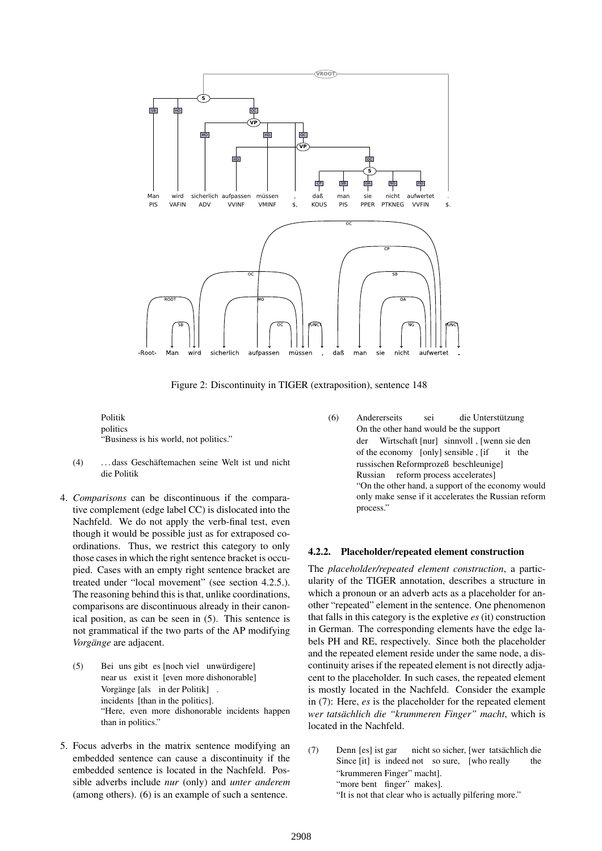

Figure 2: Discontinuity in TIGER (extraposition), sentence 148

Politik politics "Business is his world, not politics."

- (4) . . . dass Geschaftemachen seine Welt ist und nicht ¨ die Politik
- 4. *Comparisons* can be discontinuous if the comparative complement (edge label CC) is dislocated into the Nachfeld. We do not apply the verb-final test, even though it would be possible just as for extraposed coordinations. Thus, we restrict this category to only those cases in which the right sentence bracket is occupied. Cases with an empty right sentence bracket are treated under "local movement" (see section 4.2.5.). The reasoning behind this is that, unlike coordinations, comparisons are discontinuous already in their canonical position, as can be seen in (5). This sentence is not grammatical if the two parts of the AP modifying *Vorgänge* are adjacent.
	- (5) Bei uns gibt es [noch viel unwürdigere] near us exist it [even more dishonorable] Vorgänge [als in der Politik]. incidents [than in the politics]. "Here, even more dishonorable incidents happen than in politics."
- 5. Focus adverbs in the matrix sentence modifying an embedded sentence can cause a discontinuity if the embedded sentence is located in the Nachfeld. Possible adverbs include *nur* (only) and *unter anderem* (among others). (6) is an example of such a sentence.

(6) Andererseits On the other hand would be the support sei die Unterstützung der Wirtschaft [nur] sinnvoll , [wenn sie den of the economy [only] sensible , [if it the russischen Reformprozeß beschleunige] Russian reform process accelerates] "On the other hand, a support of the economy would only make sense if it accelerates the Russian reform process."

#### 4.2.2. Placeholder/repeated element construction

The *placeholder/repeated element construction*, a particularity of the TIGER annotation, describes a structure in which a pronoun or an adverb acts as a placeholder for another "repeated" element in the sentence. One phenomenon that falls in this category is the expletive *es* (it) construction in German. The corresponding elements have the edge labels PH and RE, respectively. Since both the placeholder and the repeated element reside under the same node, a discontinuity arises if the repeated element is not directly adjacent to the placeholder. In such cases, the repeated element is mostly located in the Nachfeld. Consider the example in (7): Here, *es* is the placeholder for the repeated element *wer tatsächlich die "krummeren Finger" macht*, which is located in the Nachfeld.

- (7) Denn [es] ist gar Since [it] is indeed not so sure, [who really nicht so sicher, [wer tatsächlich die the "krummeren Finger" macht]. "more bent finger" makes].
	- "It is not that clear who is actually pilfering more."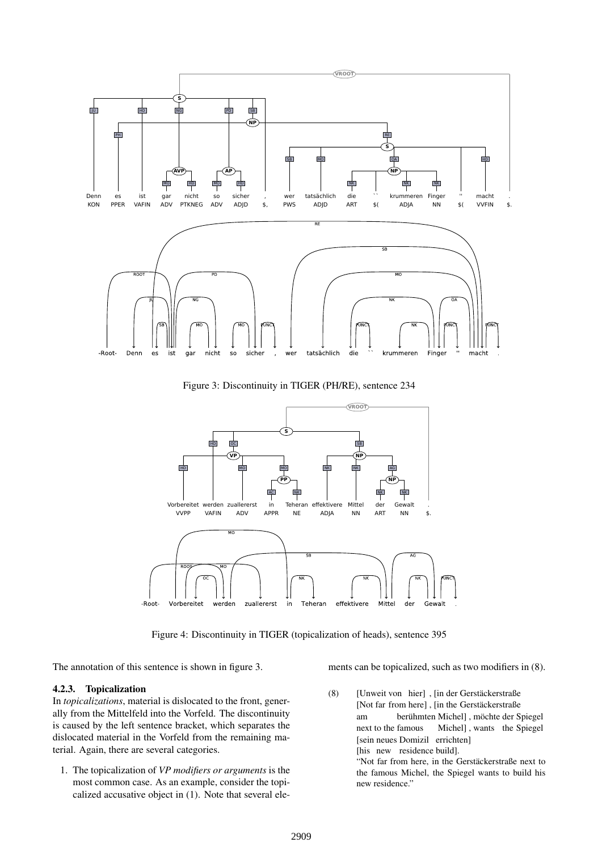

Figure 3: Discontinuity in TIGER (PH/RE), sentence 234



Figure 4: Discontinuity in TIGER (topicalization of heads), sentence 395

The annotation of this sentence is shown in figure 3.

# 4.2.3. Topicalization

In *topicalizations*, material is dislocated to the front, generally from the Mittelfeld into the Vorfeld. The discontinuity is caused by the left sentence bracket, which separates the dislocated material in the Vorfeld from the remaining material. Again, there are several categories.

1. The topicalization of *VP modifiers or arguments* is the most common case. As an example, consider the topicalized accusative object in (1). Note that several elements can be topicalized, such as two modifiers in (8).

(8) [Unweit von hier], [in der Gerstäckerstraße [Not far from here], [in the Gerstäckerstraße am next to the famous berühmten Michel], möchte der Spiegel Michel] , wants the Spiegel [sein neues Domizil errichten] [his new residence build]. "Not far from here, in the Gerstäckerstraße next to the famous Michel, the Spiegel wants to build his new residence."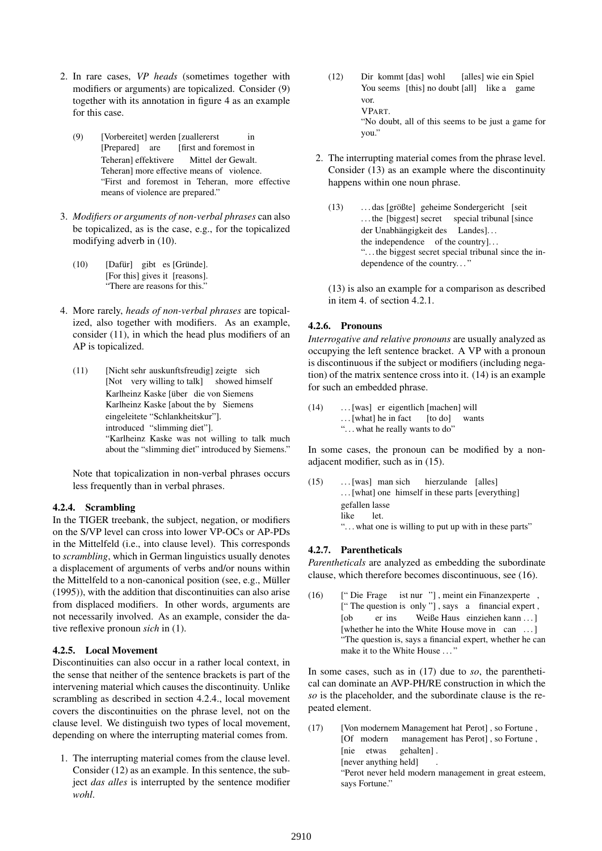- 2. In rare cases, *VP heads* (sometimes together with modifiers or arguments) are topicalized. Consider (9) together with its annotation in figure 4 as an example for this case.
	- (9) [Vorbereitet] werden [zuallererst [Prepared] are [first and foremost in in Teheran] effektivere Teheran] more effective means of violence. Mittel der Gewalt. "First and foremost in Teheran, more effective means of violence are prepared."
- 3. *Modifiers or arguments of non-verbal phrases* can also be topicalized, as is the case, e.g., for the topicalized modifying adverb in (10).
	- (10) [Dafür] gibt es [Gründe]. [For this] gives it [reasons]. "There are reasons for this."
- 4. More rarely, *heads of non-verbal phrases* are topicalized, also together with modifiers. As an example, consider (11), in which the head plus modifiers of an AP is topicalized.
	- (11) [Nicht sehr auskunftsfreudig] zeigte sich [Not very willing to talk] showed himself Karlheinz Kaske [über die von Siemens Karlheinz Kaske [about the by Siemens eingeleitete "Schlankheitskur"]. introduced "slimming diet"]. "Karlheinz Kaske was not willing to talk much about the "slimming diet" introduced by Siemens."

Note that topicalization in non-verbal phrases occurs less frequently than in verbal phrases.

### 4.2.4. Scrambling

In the TIGER treebank, the subject, negation, or modifiers on the S/VP level can cross into lower VP-OCs or AP-PDs in the Mittelfeld (i.e., into clause level). This corresponds to *scrambling*, which in German linguistics usually denotes a displacement of arguments of verbs and/or nouns within the Mittelfeld to a non-canonical position (see, e.g., Müller (1995)), with the addition that discontinuities can also arise from displaced modifiers. In other words, arguments are not necessarily involved. As an example, consider the dative reflexive pronoun *sich* in (1).

### 4.2.5. Local Movement

Discontinuities can also occur in a rather local context, in the sense that neither of the sentence brackets is part of the intervening material which causes the discontinuity. Unlike scrambling as described in section 4.2.4., local movement covers the discontinuities on the phrase level, not on the clause level. We distinguish two types of local movement, depending on where the interrupting material comes from.

1. The interrupting material comes from the clause level. Consider (12) as an example. In this sentence, the subject *das alles* is interrupted by the sentence modifier *wohl*.

- $(12)$ You seems [this] no doubt [all] like a game kommt [das] wohl [alles] wie ein Spiel vor. VPART. "No doubt, all of this seems to be just a game for you."
- 2. The interrupting material comes from the phrase level. Consider (13) as an example where the discontinuity happens within one noun phrase.
	- (13) ... das [größte] geheime Sondergericht [seit ... the [biggest] secret special tribunal [since der Unabhängigkeit des Landes]... the independence of the country]. . . ". . . the biggest secret special tribunal since the independence of the country. . . "

(13) is also an example for a comparison as described in item 4. of section 4.2.1.

# 4.2.6. Pronouns

*Interrogative and relative pronouns* are usually analyzed as occupying the left sentence bracket. A VP with a pronoun is discontinuous if the subject or modifiers (including negation) of the matrix sentence cross into it. (14) is an example for such an embedded phrase.

(14) . . . [was] er eigentlich [machen] will . . . [what] he in fact [to do] wants ". . . what he really wants to do"

In some cases, the pronoun can be modified by a nonadiacent modifier, such as in  $(15)$ .

 $(15)$  ... [was] man sich . . . [what] one himself in these parts [everything] hierzulande [alles] gefallen lasse like let. ". . . what one is willing to put up with in these parts"

### 4.2.7. Parentheticals

*Parentheticals* are analyzed as embedding the subordinate clause, which therefore becomes discontinuous, see (16).

 $(16)$ ["The question is only "], says a financial expert, Die Frage ist nur "], meint ein Finanzexperte, [ob [whether he into the White House move in can ...] er ins Weiße Haus einziehen kann ... "The question is, says a financial expert, whether he can make it to the White House ..."

In some cases, such as in (17) due to *so*, the parenthetical can dominate an AVP-PH/RE construction in which the *so* is the placeholder, and the subordinate clause is the repeated element.

(17) [Von modernem Management hat Perot], so Fortune, [Of modern management has Perot] , so Fortune , [nie etwas [never anything held] gehalten] . . "Perot never held modern management in great esteem, says Fortune."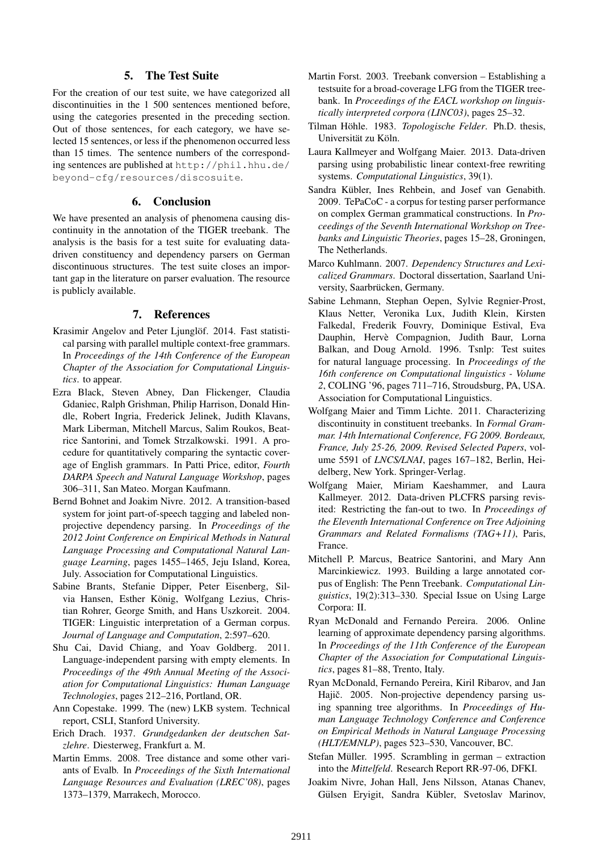# 5. The Test Suite

For the creation of our test suite, we have categorized all discontinuities in the 1 500 sentences mentioned before, using the categories presented in the preceding section. Out of those sentences, for each category, we have selected 15 sentences, or less if the phenomenon occurred less than 15 times. The sentence numbers of the corresponding sentences are published at http://phil.hhu.de/ beyond-cfg/resources/discosuite.

## 6. Conclusion

We have presented an analysis of phenomena causing discontinuity in the annotation of the TIGER treebank. The analysis is the basis for a test suite for evaluating datadriven constituency and dependency parsers on German discontinuous structures. The test suite closes an important gap in the literature on parser evaluation. The resource is publicly available.

## 7. References

- Krasimir Angelov and Peter Ljunglöf. 2014. Fast statistical parsing with parallel multiple context-free grammars. In *Proceedings of the 14th Conference of the European Chapter of the Association for Computational Linguistics*. to appear.
- Ezra Black, Steven Abney, Dan Flickenger, Claudia Gdaniec, Ralph Grishman, Philip Harrison, Donald Hindle, Robert Ingria, Frederick Jelinek, Judith Klavans, Mark Liberman, Mitchell Marcus, Salim Roukos, Beatrice Santorini, and Tomek Strzalkowski. 1991. A procedure for quantitatively comparing the syntactic coverage of English grammars. In Patti Price, editor, *Fourth DARPA Speech and Natural Language Workshop*, pages 306–311, San Mateo. Morgan Kaufmann.
- Bernd Bohnet and Joakim Nivre. 2012. A transition-based system for joint part-of-speech tagging and labeled nonprojective dependency parsing. In *Proceedings of the 2012 Joint Conference on Empirical Methods in Natural Language Processing and Computational Natural Language Learning*, pages 1455–1465, Jeju Island, Korea, July. Association for Computational Linguistics.
- Sabine Brants, Stefanie Dipper, Peter Eisenberg, Silvia Hansen, Esther König, Wolfgang Lezius, Christian Rohrer, George Smith, and Hans Uszkoreit. 2004. TIGER: Linguistic interpretation of a German corpus. *Journal of Language and Computation*, 2:597–620.
- Shu Cai, David Chiang, and Yoav Goldberg. 2011. Language-independent parsing with empty elements. In *Proceedings of the 49th Annual Meeting of the Association for Computational Linguistics: Human Language Technologies*, pages 212–216, Portland, OR.
- Ann Copestake. 1999. The (new) LKB system. Technical report, CSLI, Stanford University.
- Erich Drach. 1937. *Grundgedanken der deutschen Satzlehre*. Diesterweg, Frankfurt a. M.
- Martin Emms. 2008. Tree distance and some other variants of Evalb. In *Proceedings of the Sixth International Language Resources and Evaluation (LREC'08)*, pages 1373–1379, Marrakech, Morocco.
- Martin Forst. 2003. Treebank conversion Establishing a testsuite for a broad-coverage LFG from the TIGER treebank. In *Proceedings of the EACL workshop on linguistically interpreted corpora (LINC03)*, pages 25–32.
- Tilman Höhle. 1983. Topologische Felder. Ph.D. thesis, Universität zu Köln.
- Laura Kallmeyer and Wolfgang Maier. 2013. Data-driven parsing using probabilistic linear context-free rewriting systems. *Computational Linguistics*, 39(1).
- Sandra Kübler, Ines Rehbein, and Josef van Genabith. 2009. TePaCoC - a corpus for testing parser performance on complex German grammatical constructions. In *Proceedings of the Seventh International Workshop on Treebanks and Linguistic Theories*, pages 15–28, Groningen, The Netherlands.
- Marco Kuhlmann. 2007. *Dependency Structures and Lexicalized Grammars*. Doctoral dissertation, Saarland University, Saarbrücken, Germany.
- Sabine Lehmann, Stephan Oepen, Sylvie Regnier-Prost, Klaus Netter, Veronika Lux, Judith Klein, Kirsten Falkedal, Frederik Fouvry, Dominique Estival, Eva Dauphin, Hervè Compagnion, Judith Baur, Lorna Balkan, and Doug Arnold. 1996. Tsnlp: Test suites for natural language processing. In *Proceedings of the 16th conference on Computational linguistics - Volume 2*, COLING '96, pages 711–716, Stroudsburg, PA, USA. Association for Computational Linguistics.
- Wolfgang Maier and Timm Lichte. 2011. Characterizing discontinuity in constituent treebanks. In *Formal Grammar. 14th International Conference, FG 2009. Bordeaux, France, July 25-26, 2009. Revised Selected Papers*, volume 5591 of *LNCS/LNAI*, pages 167–182, Berlin, Heidelberg, New York. Springer-Verlag.
- Wolfgang Maier, Miriam Kaeshammer, and Laura Kallmeyer. 2012. Data-driven PLCFRS parsing revisited: Restricting the fan-out to two. In *Proceedings of the Eleventh International Conference on Tree Adjoining Grammars and Related Formalisms (TAG+11)*, Paris, France.
- Mitchell P. Marcus, Beatrice Santorini, and Mary Ann Marcinkiewicz. 1993. Building a large annotated corpus of English: The Penn Treebank. *Computational Linguistics*, 19(2):313–330. Special Issue on Using Large Corpora: II.
- Ryan McDonald and Fernando Pereira. 2006. Online learning of approximate dependency parsing algorithms. In *Proceedings of the 11th Conference of the European Chapter of the Association for Computational Linguistics*, pages 81–88, Trento, Italy.
- Ryan McDonald, Fernando Pereira, Kiril Ribarov, and Jan Hajič. 2005. Non-projective dependency parsing using spanning tree algorithms. In *Proceedings of Human Language Technology Conference and Conference on Empirical Methods in Natural Language Processing (HLT/EMNLP)*, pages 523–530, Vancouver, BC.
- Stefan Müller. 1995. Scrambling in german extraction into the *Mittelfeld*. Research Report RR-97-06, DFKI.
- Joakim Nivre, Johan Hall, Jens Nilsson, Atanas Chanev, Gülsen Eryigit, Sandra Kübler, Svetoslav Marinov,